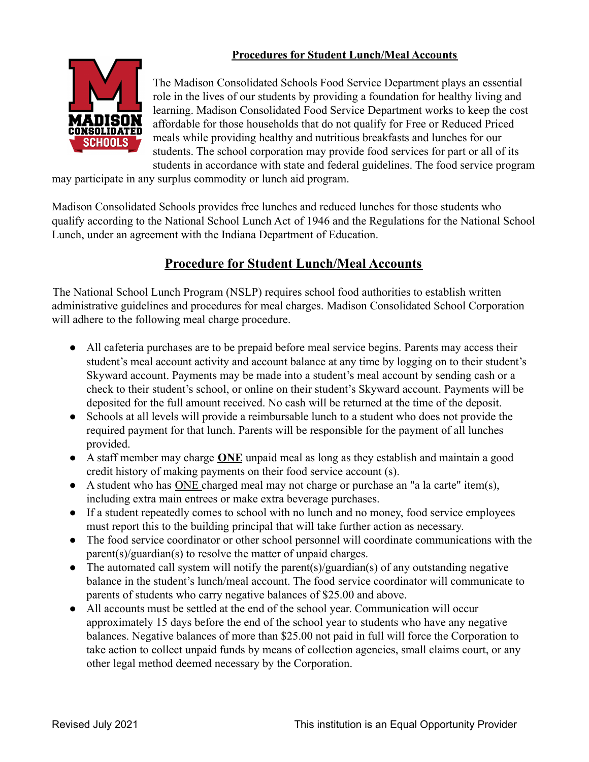## **Procedures for Student Lunch/Meal Accounts**



The Madison Consolidated Schools Food Service Department plays an essential role in the lives of our students by providing a foundation for healthy living and learning. Madison Consolidated Food Service Department works to keep the cost affordable for those households that do not qualify for Free or Reduced Priced meals while providing healthy and nutritious breakfasts and lunches for our students. The school corporation may provide food services for part or all of its students in accordance with state and federal guidelines. The food service program

may participate in any surplus commodity or lunch aid program.

Madison Consolidated Schools provides free lunches and reduced lunches for those students who qualify according to the National School Lunch Act of 1946 and the Regulations for the National School Lunch, under an agreement with the Indiana Department of Education.

## **Procedure for Student Lunch/Meal Accounts**

The National School Lunch Program (NSLP) requires school food authorities to establish written administrative guidelines and procedures for meal charges. Madison Consolidated School Corporation will adhere to the following meal charge procedure.

- All cafeteria purchases are to be prepaid before meal service begins. Parents may access their student's meal account activity and account balance at any time by logging on to their student's Skyward account. Payments may be made into a student's meal account by sending cash or a check to their student's school, or online on their student's Skyward account. Payments will be deposited for the full amount received. No cash will be returned at the time of the deposit.
- Schools at all levels will provide a reimbursable lunch to a student who does not provide the required payment for that lunch. Parents will be responsible for the payment of all lunches provided.
- A staff member may charge **ONE** unpaid meal as long as they establish and maintain a good credit history of making payments on their food service account (s).
- A student who has ONE charged meal may not charge or purchase an "a la carte" item(s), including extra main entrees or make extra beverage purchases.
- If a student repeatedly comes to school with no lunch and no money, food service employees must report this to the building principal that will take further action as necessary.
- The food service coordinator or other school personnel will coordinate communications with the parent(s)/guardian(s) to resolve the matter of unpaid charges.
- The automated call system will notify the parent(s)/guardian(s) of any outstanding negative balance in the student's lunch/meal account. The food service coordinator will communicate to parents of students who carry negative balances of \$25.00 and above.
- All accounts must be settled at the end of the school year. Communication will occur approximately 15 days before the end of the school year to students who have any negative balances. Negative balances of more than \$25.00 not paid in full will force the Corporation to take action to collect unpaid funds by means of collection agencies, small claims court, or any other legal method deemed necessary by the Corporation.